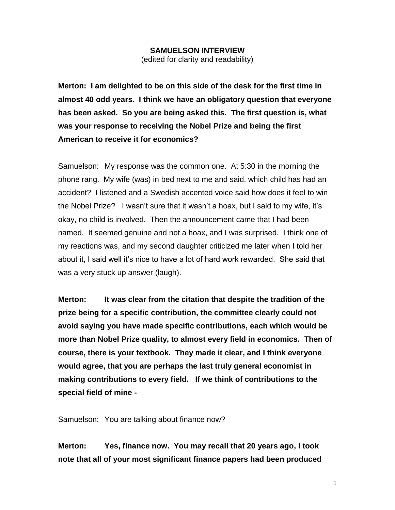#### **SAMUELSON INTERVIEW**

(edited for clarity and readability)

**Merton: I am delighted to be on this side of the desk for the first time in almost 40 odd years. I think we have an obligatory question that everyone has been asked. So you are being asked this. The first question is, what was your response to receiving the Nobel Prize and being the first American to receive it for economics?**

Samuelson: My response was the common one. At 5:30 in the morning the phone rang. My wife (was) in bed next to me and said, which child has had an accident? I listened and a Swedish accented voice said how does it feel to win the Nobel Prize? I wasn't sure that it wasn't a hoax, but I said to my wife, it's okay, no child is involved. Then the announcement came that I had been named. It seemed genuine and not a hoax, and I was surprised. I think one of my reactions was, and my second daughter criticized me later when I told her about it, I said well it's nice to have a lot of hard work rewarded. She said that was a very stuck up answer (laugh).

**Merton: It was clear from the citation that despite the tradition of the prize being for a specific contribution, the committee clearly could not avoid saying you have made specific contributions, each which would be more than Nobel Prize quality, to almost every field in economics. Then of course, there is your textbook. They made it clear, and I think everyone would agree, that you are perhaps the last truly general economist in making contributions to every field. If we think of contributions to the special field of mine -**

Samuelson: You are talking about finance now?

**Merton: Yes, finance now. You may recall that 20 years ago, I took note that all of your most significant finance papers had been produced**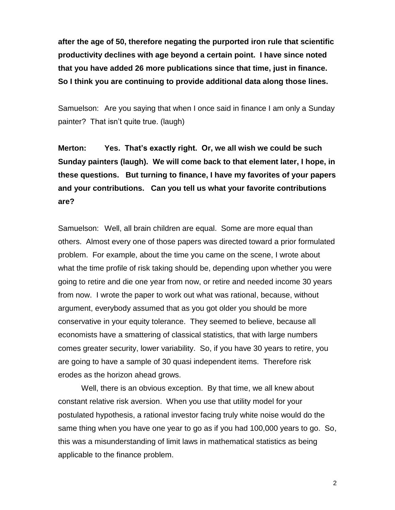**after the age of 50, therefore negating the purported iron rule that scientific productivity declines with age beyond a certain point. I have since noted that you have added 26 more publications since that time, just in finance. So I think you are continuing to provide additional data along those lines.** 

Samuelson: Are you saying that when I once said in finance I am only a Sunday painter? That isn't quite true. (laugh)

**Merton: Yes. That's exactly right. Or, we all wish we could be such Sunday painters (laugh). We will come back to that element later, I hope, in these questions. But turning to finance, I have my favorites of your papers and your contributions. Can you tell us what your favorite contributions are?** 

Samuelson: Well, all brain children are equal. Some are more equal than others. Almost every one of those papers was directed toward a prior formulated problem. For example, about the time you came on the scene, I wrote about what the time profile of risk taking should be, depending upon whether you were going to retire and die one year from now, or retire and needed income 30 years from now. I wrote the paper to work out what was rational, because, without argument, everybody assumed that as you got older you should be more conservative in your equity tolerance. They seemed to believe, because all economists have a smattering of classical statistics, that with large numbers comes greater security, lower variability. So, if you have 30 years to retire, you are going to have a sample of 30 quasi independent items. Therefore risk erodes as the horizon ahead grows.

Well, there is an obvious exception. By that time, we all knew about constant relative risk aversion. When you use that utility model for your postulated hypothesis, a rational investor facing truly white noise would do the same thing when you have one year to go as if you had 100,000 years to go. So, this was a misunderstanding of limit laws in mathematical statistics as being applicable to the finance problem.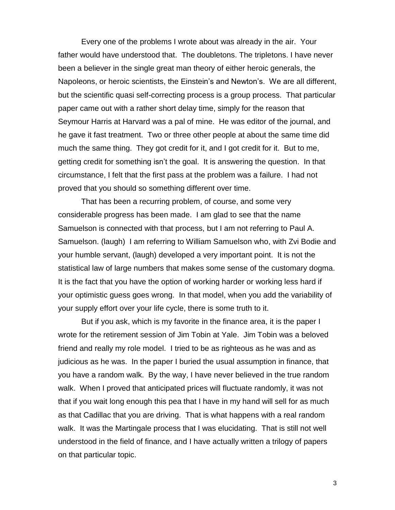Every one of the problems I wrote about was already in the air. Your father would have understood that. The doubletons. The tripletons. I have never been a believer in the single great man theory of either heroic generals, the Napoleons, or heroic scientists, the Einstein's and Newton's. We are all different, but the scientific quasi self-correcting process is a group process. That particular paper came out with a rather short delay time, simply for the reason that Seymour Harris at Harvard was a pal of mine. He was editor of the journal, and he gave it fast treatment. Two or three other people at about the same time did much the same thing. They got credit for it, and I got credit for it. But to me, getting credit for something isn't the goal. It is answering the question. In that circumstance, I felt that the first pass at the problem was a failure. I had not proved that you should so something different over time.

That has been a recurring problem, of course, and some very considerable progress has been made. I am glad to see that the name Samuelson is connected with that process, but I am not referring to Paul A. Samuelson. (laugh) I am referring to William Samuelson who, with Zvi Bodie and your humble servant, (laugh) developed a very important point. It is not the statistical law of large numbers that makes some sense of the customary dogma. It is the fact that you have the option of working harder or working less hard if your optimistic guess goes wrong. In that model, when you add the variability of your supply effort over your life cycle, there is some truth to it.

But if you ask, which is my favorite in the finance area, it is the paper I wrote for the retirement session of Jim Tobin at Yale. Jim Tobin was a beloved friend and really my role model. I tried to be as righteous as he was and as judicious as he was. In the paper I buried the usual assumption in finance, that you have a random walk. By the way, I have never believed in the true random walk. When I proved that anticipated prices will fluctuate randomly, it was not that if you wait long enough this pea that I have in my hand will sell for as much as that Cadillac that you are driving. That is what happens with a real random walk. It was the Martingale process that I was elucidating. That is still not well understood in the field of finance, and I have actually written a trilogy of papers on that particular topic.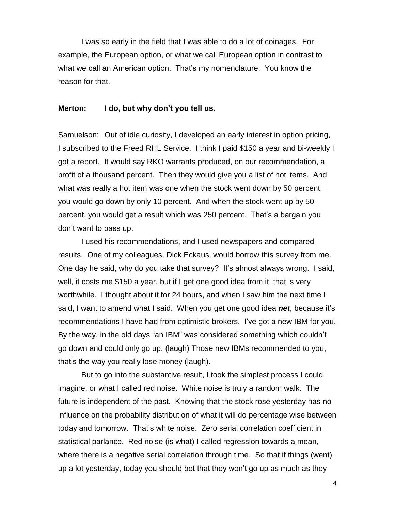I was so early in the field that I was able to do a lot of coinages. For example, the European option, or what we call European option in contrast to what we call an American option. That's my nomenclature. You know the reason for that.

#### **Merton: I do, but why don't you tell us.**

Samuelson: Out of idle curiosity, I developed an early interest in option pricing, I subscribed to the Freed RHL Service. I think I paid \$150 a year and bi-weekly I got a report. It would say RKO warrants produced, on our recommendation, a profit of a thousand percent. Then they would give you a list of hot items. And what was really a hot item was one when the stock went down by 50 percent, you would go down by only 10 percent. And when the stock went up by 50 percent, you would get a result which was 250 percent. That's a bargain you don't want to pass up.

I used his recommendations, and I used newspapers and compared results. One of my colleagues, Dick Eckaus, would borrow this survey from me. One day he said, why do you take that survey? It's almost always wrong. I said, well, it costs me \$150 a year, but if I get one good idea from it, that is very worthwhile. I thought about it for 24 hours, and when I saw him the next time I said, I want to amend what I said. When you get one good idea *net*, because it's recommendations I have had from optimistic brokers. I've got a new IBM for you. By the way, in the old days "an IBM" was considered something which couldn't go down and could only go up. (laugh) Those new IBMs recommended to you, that's the way you really lose money (laugh).

But to go into the substantive result, I took the simplest process I could imagine, or what I called red noise. White noise is truly a random walk. The future is independent of the past. Knowing that the stock rose yesterday has no influence on the probability distribution of what it will do percentage wise between today and tomorrow. That's white noise. Zero serial correlation coefficient in statistical parlance. Red noise (is what) I called regression towards a mean, where there is a negative serial correlation through time. So that if things (went) up a lot yesterday, today you should bet that they won't go up as much as they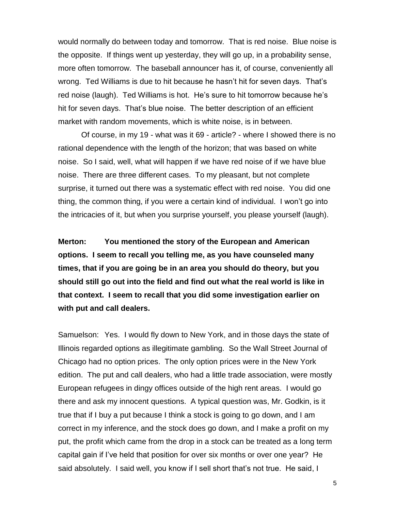would normally do between today and tomorrow. That is red noise. Blue noise is the opposite. If things went up yesterday, they will go up, in a probability sense, more often tomorrow. The baseball announcer has it, of course, conveniently all wrong. Ted Williams is due to hit because he hasn't hit for seven days. That's red noise (laugh). Ted Williams is hot. He's sure to hit tomorrow because he's hit for seven days. That's blue noise. The better description of an efficient market with random movements, which is white noise, is in between.

Of course, in my 19 - what was it 69 - article? - where I showed there is no rational dependence with the length of the horizon; that was based on white noise. So I said, well, what will happen if we have red noise of if we have blue noise. There are three different cases. To my pleasant, but not complete surprise, it turned out there was a systematic effect with red noise. You did one thing, the common thing, if you were a certain kind of individual. I won't go into the intricacies of it, but when you surprise yourself, you please yourself (laugh).

**Merton: You mentioned the story of the European and American options. I seem to recall you telling me, as you have counseled many times, that if you are going be in an area you should do theory, but you should still go out into the field and find out what the real world is like in that context. I seem to recall that you did some investigation earlier on with put and call dealers.**

Samuelson: Yes. I would fly down to New York, and in those days the state of Illinois regarded options as illegitimate gambling. So the Wall Street Journal of Chicago had no option prices. The only option prices were in the New York edition. The put and call dealers, who had a little trade association, were mostly European refugees in dingy offices outside of the high rent areas. I would go there and ask my innocent questions. A typical question was, Mr. Godkin, is it true that if I buy a put because I think a stock is going to go down, and I am correct in my inference, and the stock does go down, and I make a profit on my put, the profit which came from the drop in a stock can be treated as a long term capital gain if I've held that position for over six months or over one year? He said absolutely. I said well, you know if I sell short that's not true. He said, I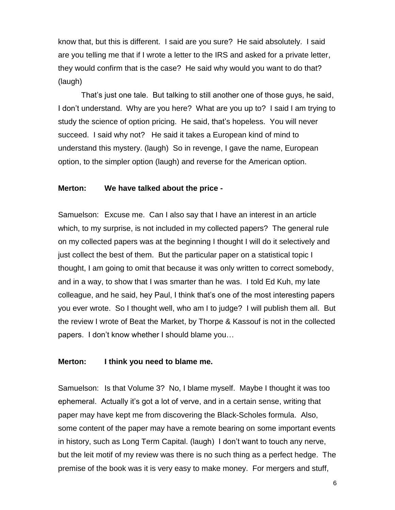know that, but this is different. I said are you sure? He said absolutely. I said are you telling me that if I wrote a letter to the IRS and asked for a private letter, they would confirm that is the case? He said why would you want to do that? (laugh)

That's just one tale. But talking to still another one of those guys, he said, I don't understand. Why are you here? What are you up to? I said I am trying to study the science of option pricing. He said, that's hopeless. You will never succeed. I said why not? He said it takes a European kind of mind to understand this mystery. (laugh) So in revenge, I gave the name, European option, to the simpler option (laugh) and reverse for the American option.

# **Merton: We have talked about the price -**

Samuelson: Excuse me. Can I also say that I have an interest in an article which, to my surprise, is not included in my collected papers? The general rule on my collected papers was at the beginning I thought I will do it selectively and just collect the best of them. But the particular paper on a statistical topic I thought, I am going to omit that because it was only written to correct somebody, and in a way, to show that I was smarter than he was. I told Ed Kuh, my late colleague, and he said, hey Paul, I think that's one of the most interesting papers you ever wrote. So I thought well, who am I to judge? I will publish them all. But the review I wrote of Beat the Market, by Thorpe & Kassouf is not in the collected papers. I don't know whether I should blame you…

# **Merton: I think you need to blame me.**

Samuelson: Is that Volume 3? No, I blame myself. Maybe I thought it was too ephemeral. Actually it's got a lot of verve, and in a certain sense, writing that paper may have kept me from discovering the Black-Scholes formula. Also, some content of the paper may have a remote bearing on some important events in history, such as Long Term Capital. (laugh) I don't want to touch any nerve, but the leit motif of my review was there is no such thing as a perfect hedge. The premise of the book was it is very easy to make money. For mergers and stuff,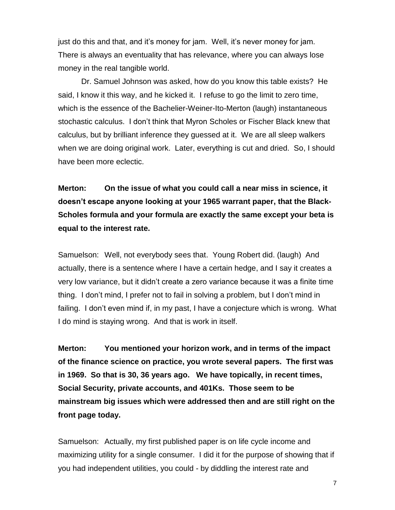just do this and that, and it's money for jam. Well, it's never money for jam. There is always an eventuality that has relevance, where you can always lose money in the real tangible world.

Dr. Samuel Johnson was asked, how do you know this table exists? He said, I know it this way, and he kicked it. I refuse to go the limit to zero time, which is the essence of the Bachelier-Weiner-Ito-Merton (laugh) instantaneous stochastic calculus. I don't think that Myron Scholes or Fischer Black knew that calculus, but by brilliant inference they guessed at it. We are all sleep walkers when we are doing original work. Later, everything is cut and dried. So, I should have been more eclectic.

**Merton: On the issue of what you could call a near miss in science, it doesn't escape anyone looking at your 1965 warrant paper, that the Black-Scholes formula and your formula are exactly the same except your beta is equal to the interest rate.**

Samuelson: Well, not everybody sees that. Young Robert did. (laugh) And actually, there is a sentence where I have a certain hedge, and I say it creates a very low variance, but it didn't create a zero variance because it was a finite time thing. I don't mind, I prefer not to fail in solving a problem, but I don't mind in failing. I don't even mind if, in my past, I have a conjecture which is wrong. What I do mind is staying wrong. And that is work in itself.

**Merton: You mentioned your horizon work, and in terms of the impact of the finance science on practice, you wrote several papers. The first was in 1969. So that is 30, 36 years ago. We have topically, in recent times, Social Security, private accounts, and 401Ks. Those seem to be mainstream big issues which were addressed then and are still right on the front page today.**

Samuelson: Actually, my first published paper is on life cycle income and maximizing utility for a single consumer. I did it for the purpose of showing that if you had independent utilities, you could - by diddling the interest rate and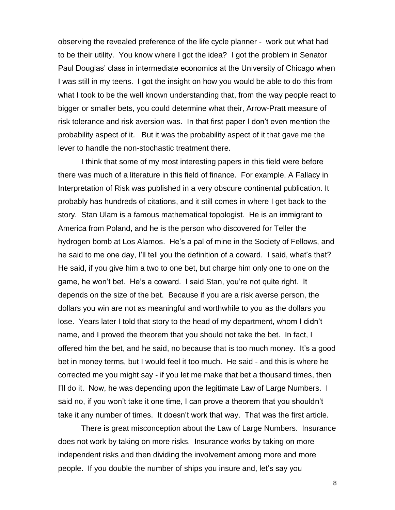observing the revealed preference of the life cycle planner - work out what had to be their utility. You know where I got the idea? I got the problem in Senator Paul Douglas' class in intermediate economics at the University of Chicago when I was still in my teens. I got the insight on how you would be able to do this from what I took to be the well known understanding that, from the way people react to bigger or smaller bets, you could determine what their, Arrow-Pratt measure of risk tolerance and risk aversion was. In that first paper I don't even mention the probability aspect of it. But it was the probability aspect of it that gave me the lever to handle the non-stochastic treatment there.

I think that some of my most interesting papers in this field were before there was much of a literature in this field of finance. For example, A Fallacy in Interpretation of Risk was published in a very obscure continental publication. It probably has hundreds of citations, and it still comes in where I get back to the story. Stan Ulam is a famous mathematical topologist. He is an immigrant to America from Poland, and he is the person who discovered for Teller the hydrogen bomb at Los Alamos. He's a pal of mine in the Society of Fellows, and he said to me one day, I'll tell you the definition of a coward. I said, what's that? He said, if you give him a two to one bet, but charge him only one to one on the game, he won't bet. He's a coward. I said Stan, you're not quite right. It depends on the size of the bet. Because if you are a risk averse person, the dollars you win are not as meaningful and worthwhile to you as the dollars you lose. Years later I told that story to the head of my department, whom I didn't name, and I proved the theorem that you should not take the bet. In fact, I offered him the bet, and he said, no because that is too much money. It's a good bet in money terms, but I would feel it too much. He said - and this is where he corrected me you might say - if you let me make that bet a thousand times, then I'll do it. Now, he was depending upon the legitimate Law of Large Numbers. I said no, if you won't take it one time, I can prove a theorem that you shouldn't take it any number of times. It doesn't work that way. That was the first article.

There is great misconception about the Law of Large Numbers. Insurance does not work by taking on more risks. Insurance works by taking on more independent risks and then dividing the involvement among more and more people. If you double the number of ships you insure and, let's say you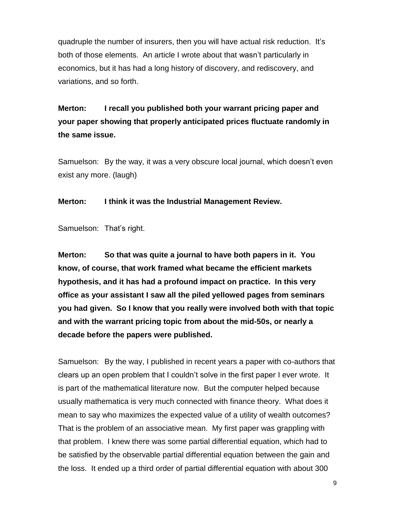quadruple the number of insurers, then you will have actual risk reduction. It's both of those elements. An article I wrote about that wasn't particularly in economics, but it has had a long history of discovery, and rediscovery, and variations, and so forth.

**Merton: I recall you published both your warrant pricing paper and your paper showing that properly anticipated prices fluctuate randomly in the same issue.**

Samuelson: By the way, it was a very obscure local journal, which doesn't even exist any more. (laugh)

**Merton: I think it was the Industrial Management Review.**

Samuelson: That's right.

**Merton: So that was quite a journal to have both papers in it. You know, of course, that work framed what became the efficient markets hypothesis, and it has had a profound impact on practice. In this very office as your assistant I saw all the piled yellowed pages from seminars you had given. So I know that you really were involved both with that topic and with the warrant pricing topic from about the mid-50s, or nearly a decade before the papers were published.**

Samuelson: By the way, I published in recent years a paper with co-authors that clears up an open problem that I couldn't solve in the first paper I ever wrote. It is part of the mathematical literature now. But the computer helped because usually mathematica is very much connected with finance theory. What does it mean to say who maximizes the expected value of a utility of wealth outcomes? That is the problem of an associative mean. My first paper was grappling with that problem. I knew there was some partial differential equation, which had to be satisfied by the observable partial differential equation between the gain and the loss. It ended up a third order of partial differential equation with about 300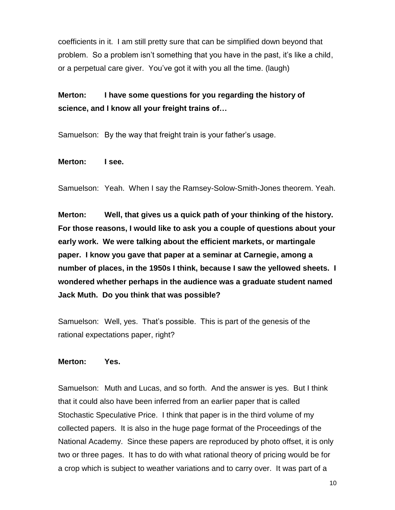coefficients in it. I am still pretty sure that can be simplified down beyond that problem. So a problem isn't something that you have in the past, it's like a child, or a perpetual care giver. You've got it with you all the time. (laugh)

**Merton: I have some questions for you regarding the history of science, and I know all your freight trains of…**

Samuelson: By the way that freight train is your father's usage.

#### **Merton: I see.**

Samuelson: Yeah. When I say the Ramsey-Solow-Smith-Jones theorem. Yeah.

**Merton: Well, that gives us a quick path of your thinking of the history. For those reasons, I would like to ask you a couple of questions about your early work. We were talking about the efficient markets, or martingale paper. I know you gave that paper at a seminar at Carnegie, among a number of places, in the 1950s I think, because I saw the yellowed sheets. I wondered whether perhaps in the audience was a graduate student named Jack Muth. Do you think that was possible?**

Samuelson: Well, yes. That's possible. This is part of the genesis of the rational expectations paper, right?

# **Merton: Yes.**

Samuelson: Muth and Lucas, and so forth. And the answer is yes. But I think that it could also have been inferred from an earlier paper that is called Stochastic Speculative Price. I think that paper is in the third volume of my collected papers. It is also in the huge page format of the Proceedings of the National Academy. Since these papers are reproduced by photo offset, it is only two or three pages. It has to do with what rational theory of pricing would be for a crop which is subject to weather variations and to carry over. It was part of a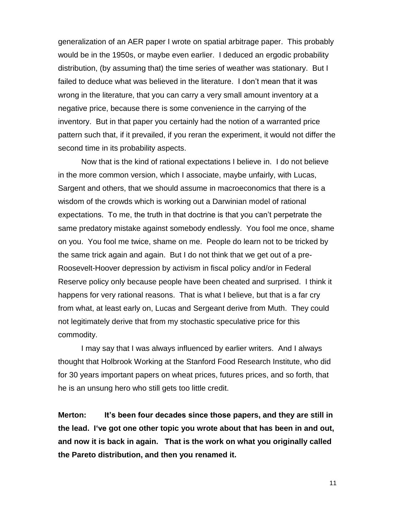generalization of an AER paper I wrote on spatial arbitrage paper. This probably would be in the 1950s, or maybe even earlier. I deduced an ergodic probability distribution, (by assuming that) the time series of weather was stationary. But I failed to deduce what was believed in the literature. I don't mean that it was wrong in the literature, that you can carry a very small amount inventory at a negative price, because there is some convenience in the carrying of the inventory. But in that paper you certainly had the notion of a warranted price pattern such that, if it prevailed, if you reran the experiment, it would not differ the second time in its probability aspects.

Now that is the kind of rational expectations I believe in. I do not believe in the more common version, which I associate, maybe unfairly, with Lucas, Sargent and others, that we should assume in macroeconomics that there is a wisdom of the crowds which is working out a Darwinian model of rational expectations. To me, the truth in that doctrine is that you can't perpetrate the same predatory mistake against somebody endlessly. You fool me once, shame on you. You fool me twice, shame on me. People do learn not to be tricked by the same trick again and again. But I do not think that we get out of a pre-Roosevelt-Hoover depression by activism in fiscal policy and/or in Federal Reserve policy only because people have been cheated and surprised. I think it happens for very rational reasons. That is what I believe, but that is a far cry from what, at least early on, Lucas and Sergeant derive from Muth. They could not legitimately derive that from my stochastic speculative price for this commodity.

I may say that I was always influenced by earlier writers. And I always thought that Holbrook Working at the Stanford Food Research Institute, who did for 30 years important papers on wheat prices, futures prices, and so forth, that he is an unsung hero who still gets too little credit.

**Merton: It's been four decades since those papers, and they are still in the lead. I've got one other topic you wrote about that has been in and out, and now it is back in again. That is the work on what you originally called the Pareto distribution, and then you renamed it.**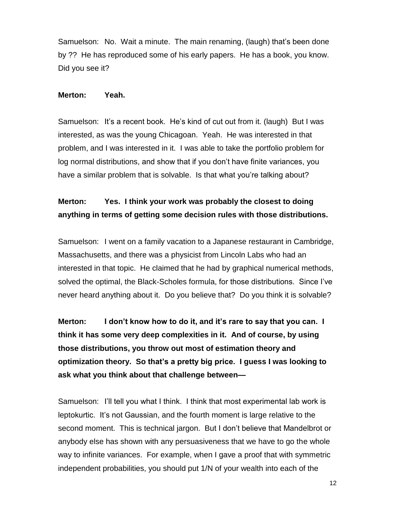Samuelson: No. Wait a minute. The main renaming, (laugh) that's been done by ?? He has reproduced some of his early papers. He has a book, you know. Did you see it?

#### **Merton: Yeah.**

Samuelson: It's a recent book. He's kind of cut out from it. (laugh) But I was interested, as was the young Chicagoan. Yeah. He was interested in that problem, and I was interested in it. I was able to take the portfolio problem for log normal distributions, and show that if you don't have finite variances, you have a similar problem that is solvable. Is that what you're talking about?

# **Merton: Yes. I think your work was probably the closest to doing anything in terms of getting some decision rules with those distributions.**

Samuelson: I went on a family vacation to a Japanese restaurant in Cambridge, Massachusetts, and there was a physicist from Lincoln Labs who had an interested in that topic. He claimed that he had by graphical numerical methods, solved the optimal, the Black-Scholes formula, for those distributions. Since I've never heard anything about it. Do you believe that? Do you think it is solvable?

**Merton: I don't know how to do it, and it's rare to say that you can. I think it has some very deep complexities in it. And of course, by using those distributions, you throw out most of estimation theory and optimization theory. So that's a pretty big price. I guess I was looking to ask what you think about that challenge between—**

Samuelson: I'll tell you what I think. I think that most experimental lab work is leptokurtic. It's not Gaussian, and the fourth moment is large relative to the second moment. This is technical jargon. But I don't believe that Mandelbrot or anybody else has shown with any persuasiveness that we have to go the whole way to infinite variances. For example, when I gave a proof that with symmetric independent probabilities, you should put 1/N of your wealth into each of the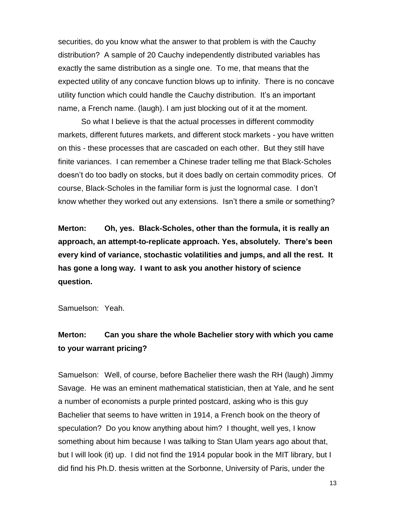securities, do you know what the answer to that problem is with the Cauchy distribution? A sample of 20 Cauchy independently distributed variables has exactly the same distribution as a single one. To me, that means that the expected utility of any concave function blows up to infinity. There is no concave utility function which could handle the Cauchy distribution. It's an important name, a French name. (laugh). I am just blocking out of it at the moment.

So what I believe is that the actual processes in different commodity markets, different futures markets, and different stock markets - you have written on this - these processes that are cascaded on each other. But they still have finite variances. I can remember a Chinese trader telling me that Black-Scholes doesn't do too badly on stocks, but it does badly on certain commodity prices. Of course, Black-Scholes in the familiar form is just the lognormal case. I don't know whether they worked out any extensions. Isn't there a smile or something?

**Merton: Oh, yes. Black-Scholes, other than the formula, it is really an approach, an attempt-to-replicate approach. Yes, absolutely. There's been every kind of variance, stochastic volatilities and jumps, and all the rest. It has gone a long way. I want to ask you another history of science question.**

Samuelson: Yeah.

# **Merton: Can you share the whole Bachelier story with which you came to your warrant pricing?**

Samuelson: Well, of course, before Bachelier there wash the RH (laugh) Jimmy Savage. He was an eminent mathematical statistician, then at Yale, and he sent a number of economists a purple printed postcard, asking who is this guy Bachelier that seems to have written in 1914, a French book on the theory of speculation? Do you know anything about him? I thought, well yes, I know something about him because I was talking to Stan Ulam years ago about that, but I will look (it) up. I did not find the 1914 popular book in the MIT library, but I did find his Ph.D. thesis written at the Sorbonne, University of Paris, under the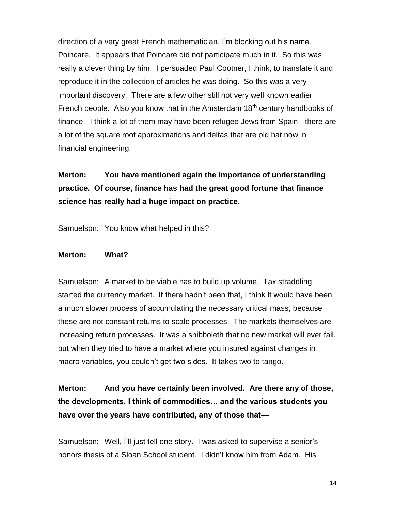direction of a very great French mathematician. I'm blocking out his name. Poincare. It appears that Poincare did not participate much in it. So this was really a clever thing by him. I persuaded Paul Cootner, I think, to translate it and reproduce it in the collection of articles he was doing. So this was a very important discovery. There are a few other still not very well known earlier French people. Also you know that in the Amsterdam 18<sup>th</sup> century handbooks of finance - I think a lot of them may have been refugee Jews from Spain - there are a lot of the square root approximations and deltas that are old hat now in financial engineering.

**Merton: You have mentioned again the importance of understanding practice. Of course, finance has had the great good fortune that finance science has really had a huge impact on practice.**

Samuelson: You know what helped in this?

#### **Merton: What?**

Samuelson: A market to be viable has to build up volume. Tax straddling started the currency market. If there hadn't been that, I think it would have been a much slower process of accumulating the necessary critical mass, because these are not constant returns to scale processes. The markets themselves are increasing return processes. It was a shibboleth that no new market will ever fail, but when they tried to have a market where you insured against changes in macro variables, you couldn't get two sides. It takes two to tango.

**Merton: And you have certainly been involved. Are there any of those, the developments, I think of commodities… and the various students you have over the years have contributed, any of those that—**

Samuelson: Well, I'll just tell one story. I was asked to supervise a senior's honors thesis of a Sloan School student. I didn't know him from Adam. His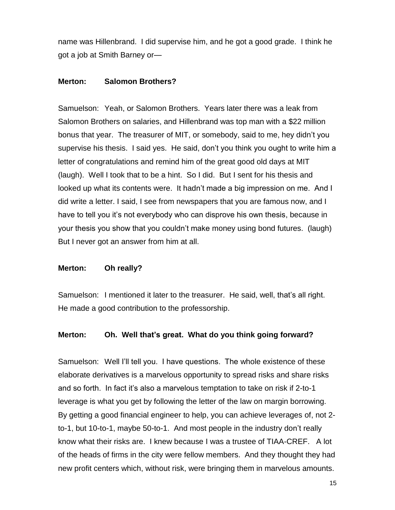name was Hillenbrand. I did supervise him, and he got a good grade. I think he got a job at Smith Barney or—

# **Merton: Salomon Brothers?**

Samuelson: Yeah, or Salomon Brothers. Years later there was a leak from Salomon Brothers on salaries, and Hillenbrand was top man with a \$22 million bonus that year. The treasurer of MIT, or somebody, said to me, hey didn't you supervise his thesis. I said yes. He said, don't you think you ought to write him a letter of congratulations and remind him of the great good old days at MIT (laugh). Well I took that to be a hint. So I did. But I sent for his thesis and looked up what its contents were. It hadn't made a big impression on me. And I did write a letter. I said, I see from newspapers that you are famous now, and I have to tell you it's not everybody who can disprove his own thesis, because in your thesis you show that you couldn't make money using bond futures. (laugh) But I never got an answer from him at all.

# **Merton: Oh really?**

Samuelson: I mentioned it later to the treasurer. He said, well, that's all right. He made a good contribution to the professorship.

# **Merton: Oh. Well that's great. What do you think going forward?**

Samuelson: Well I'll tell you. I have questions. The whole existence of these elaborate derivatives is a marvelous opportunity to spread risks and share risks and so forth. In fact it's also a marvelous temptation to take on risk if 2-to-1 leverage is what you get by following the letter of the law on margin borrowing. By getting a good financial engineer to help, you can achieve leverages of, not 2 to-1, but 10-to-1, maybe 50-to-1. And most people in the industry don't really know what their risks are. I knew because I was a trustee of TIAA-CREF. A lot of the heads of firms in the city were fellow members. And they thought they had new profit centers which, without risk, were bringing them in marvelous amounts.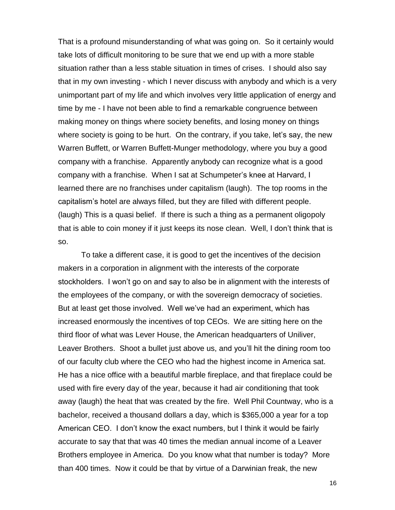That is a profound misunderstanding of what was going on. So it certainly would take lots of difficult monitoring to be sure that we end up with a more stable situation rather than a less stable situation in times of crises. I should also say that in my own investing - which I never discuss with anybody and which is a very unimportant part of my life and which involves very little application of energy and time by me - I have not been able to find a remarkable congruence between making money on things where society benefits, and losing money on things where society is going to be hurt. On the contrary, if you take, let's say, the new Warren Buffett, or Warren Buffett-Munger methodology, where you buy a good company with a franchise. Apparently anybody can recognize what is a good company with a franchise. When I sat at Schumpeter's knee at Harvard, I learned there are no franchises under capitalism (laugh). The top rooms in the capitalism's hotel are always filled, but they are filled with different people. (laugh) This is a quasi belief. If there is such a thing as a permanent oligopoly that is able to coin money if it just keeps its nose clean. Well, I don't think that is so.

To take a different case, it is good to get the incentives of the decision makers in a corporation in alignment with the interests of the corporate stockholders. I won't go on and say to also be in alignment with the interests of the employees of the company, or with the sovereign democracy of societies. But at least get those involved. Well we've had an experiment, which has increased enormously the incentives of top CEOs. We are sitting here on the third floor of what was Lever House, the American headquarters of Uniliver, Leaver Brothers. Shoot a bullet just above us, and you'll hit the dining room too of our faculty club where the CEO who had the highest income in America sat. He has a nice office with a beautiful marble fireplace, and that fireplace could be used with fire every day of the year, because it had air conditioning that took away (laugh) the heat that was created by the fire. Well Phil Countway, who is a bachelor, received a thousand dollars a day, which is \$365,000 a year for a top American CEO. I don't know the exact numbers, but I think it would be fairly accurate to say that that was 40 times the median annual income of a Leaver Brothers employee in America. Do you know what that number is today? More than 400 times. Now it could be that by virtue of a Darwinian freak, the new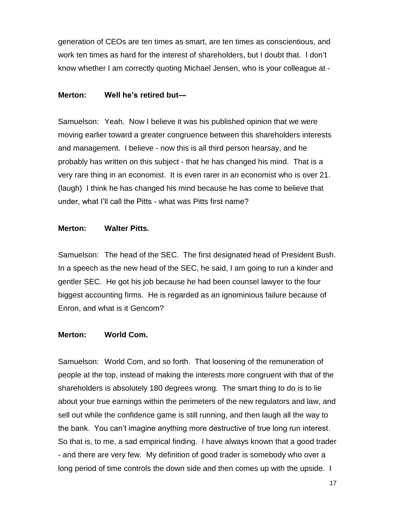generation of CEOs are ten times as smart, are ten times as conscientious, and work ten times as hard for the interest of shareholders, but I doubt that. I don't know whether I am correctly quoting Michael Jensen, who is your colleague at -

# **Merton: Well he's retired but—**

Samuelson: Yeah. Now I believe it was his published opinion that we were moving earlier toward a greater congruence between this shareholders interests and management. I believe - now this is all third person hearsay, and he probably has written on this subject - that he has changed his mind. That is a very rare thing in an economist. It is even rarer in an economist who is over 21. (laugh) I think he has changed his mind because he has come to believe that under, what I'll call the Pitts - what was Pitts first name?

# **Merton: Walter Pitts.**

Samuelson: The head of the SEC. The first designated head of President Bush. In a speech as the new head of the SEC, he said, I am going to run a kinder and gentler SEC. He got his job because he had been counsel lawyer to the four biggest accounting firms. He is regarded as an ignominious failure because of Enron, and what is it Gencom?

# **Merton: World Com.**

Samuelson: World Com, and so forth. That loosening of the remuneration of people at the top, instead of making the interests more congruent with that of the shareholders is absolutely 180 degrees wrong. The smart thing to do is to lie about your true earnings within the perimeters of the new regulators and law, and sell out while the confidence game is still running, and then laugh all the way to the bank. You can't imagine anything more destructive of true long run interest. So that is, to me, a sad empirical finding. I have always known that a good trader - and there are very few. My definition of good trader is somebody who over a long period of time controls the down side and then comes up with the upside. I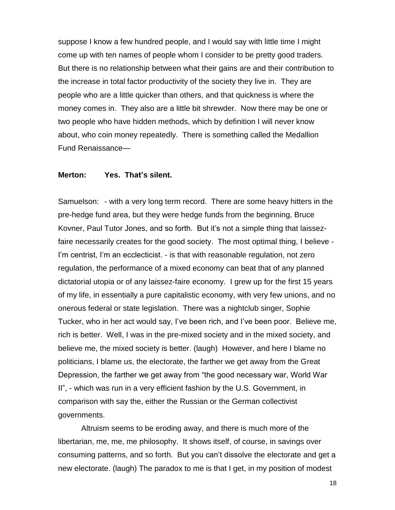suppose I know a few hundred people, and I would say with little time I might come up with ten names of people whom I consider to be pretty good traders. But there is no relationship between what their gains are and their contribution to the increase in total factor productivity of the society they live in. They are people who are a little quicker than others, and that quickness is where the money comes in. They also are a little bit shrewder. Now there may be one or two people who have hidden methods, which by definition I will never know about, who coin money repeatedly. There is something called the Medallion Fund Renaissance—

#### **Merton: Yes. That's silent.**

Samuelson: - with a very long term record. There are some heavy hitters in the pre-hedge fund area, but they were hedge funds from the beginning, Bruce Kovner, Paul Tutor Jones, and so forth. But it's not a simple thing that laissezfaire necessarily creates for the good society. The most optimal thing, I believe - I'm centrist, I'm an ecclecticist. - is that with reasonable regulation, not zero regulation, the performance of a mixed economy can beat that of any planned dictatorial utopia or of any laissez-faire economy. I grew up for the first 15 years of my life, in essentially a pure capitalistic economy, with very few unions, and no onerous federal or state legislation. There was a nightclub singer, Sophie Tucker, who in her act would say, I've been rich, and I've been poor. Believe me, rich is better. Well, I was in the pre-mixed society and in the mixed society, and believe me, the mixed society is better. (laugh) However, and here I blame no politicians, I blame us, the electorate, the farther we get away from the Great Depression, the farther we get away from "the good necessary war, World War II", - which was run in a very efficient fashion by the U.S. Government, in comparison with say the, either the Russian or the German collectivist governments.

Altruism seems to be eroding away, and there is much more of the libertarian, me, me, me philosophy. It shows itself, of course, in savings over consuming patterns, and so forth. But you can't dissolve the electorate and get a new electorate. (laugh) The paradox to me is that I get, in my position of modest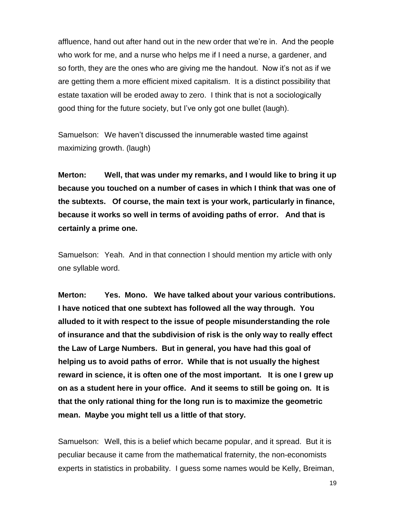affluence, hand out after hand out in the new order that we're in. And the people who work for me, and a nurse who helps me if I need a nurse, a gardener, and so forth, they are the ones who are giving me the handout. Now it's not as if we are getting them a more efficient mixed capitalism. It is a distinct possibility that estate taxation will be eroded away to zero. I think that is not a sociologically good thing for the future society, but I've only got one bullet (laugh).

Samuelson: We haven't discussed the innumerable wasted time against maximizing growth. (laugh)

**Merton: Well, that was under my remarks, and I would like to bring it up because you touched on a number of cases in which I think that was one of the subtexts. Of course, the main text is your work, particularly in finance, because it works so well in terms of avoiding paths of error. And that is certainly a prime one.**

Samuelson: Yeah. And in that connection I should mention my article with only one syllable word.

**Merton: Yes. Mono. We have talked about your various contributions. I have noticed that one subtext has followed all the way through. You alluded to it with respect to the issue of people misunderstanding the role of insurance and that the subdivision of risk is the only way to really effect the Law of Large Numbers. But in general, you have had this goal of helping us to avoid paths of error. While that is not usually the highest reward in science, it is often one of the most important. It is one I grew up on as a student here in your office. And it seems to still be going on. It is that the only rational thing for the long run is to maximize the geometric mean. Maybe you might tell us a little of that story.**

Samuelson: Well, this is a belief which became popular, and it spread. But it is peculiar because it came from the mathematical fraternity, the non-economists experts in statistics in probability. I guess some names would be Kelly, Breiman,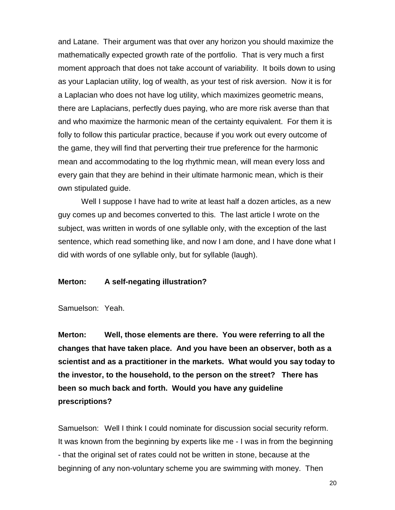and Latane. Their argument was that over any horizon you should maximize the mathematically expected growth rate of the portfolio. That is very much a first moment approach that does not take account of variability. It boils down to using as your Laplacian utility, log of wealth, as your test of risk aversion. Now it is for a Laplacian who does not have log utility, which maximizes geometric means, there are Laplacians, perfectly dues paying, who are more risk averse than that and who maximize the harmonic mean of the certainty equivalent. For them it is folly to follow this particular practice, because if you work out every outcome of the game, they will find that perverting their true preference for the harmonic mean and accommodating to the log rhythmic mean, will mean every loss and every gain that they are behind in their ultimate harmonic mean, which is their own stipulated guide.

Well I suppose I have had to write at least half a dozen articles, as a new guy comes up and becomes converted to this. The last article I wrote on the subject, was written in words of one syllable only, with the exception of the last sentence, which read something like, and now I am done, and I have done what I did with words of one syllable only, but for syllable (laugh).

#### **Merton: A self-negating illustration?**

Samuelson: Yeah.

**Merton: Well, those elements are there. You were referring to all the changes that have taken place. And you have been an observer, both as a scientist and as a practitioner in the markets. What would you say today to the investor, to the household, to the person on the street? There has been so much back and forth. Would you have any guideline prescriptions?**

Samuelson: Well I think I could nominate for discussion social security reform. It was known from the beginning by experts like me - I was in from the beginning - that the original set of rates could not be written in stone, because at the beginning of any non-voluntary scheme you are swimming with money. Then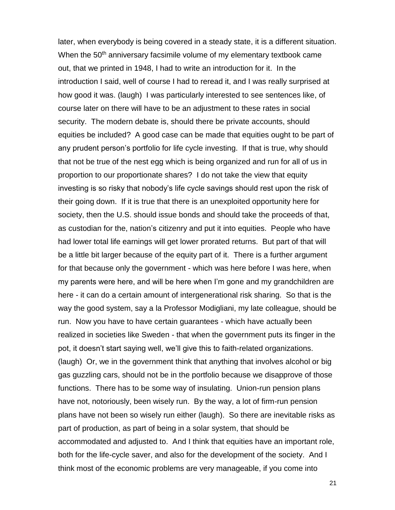later, when everybody is being covered in a steady state, it is a different situation. When the 50<sup>th</sup> anniversary facsimile volume of my elementary textbook came out, that we printed in 1948, I had to write an introduction for it. In the introduction I said, well of course I had to reread it, and I was really surprised at how good it was. (laugh) I was particularly interested to see sentences like, of course later on there will have to be an adjustment to these rates in social security. The modern debate is, should there be private accounts, should equities be included? A good case can be made that equities ought to be part of any prudent person's portfolio for life cycle investing. If that is true, why should that not be true of the nest egg which is being organized and run for all of us in proportion to our proportionate shares? I do not take the view that equity investing is so risky that nobody's life cycle savings should rest upon the risk of their going down. If it is true that there is an unexploited opportunity here for society, then the U.S. should issue bonds and should take the proceeds of that, as custodian for the, nation's citizenry and put it into equities. People who have had lower total life earnings will get lower prorated returns. But part of that will be a little bit larger because of the equity part of it. There is a further argument for that because only the government - which was here before I was here, when my parents were here, and will be here when I'm gone and my grandchildren are here - it can do a certain amount of intergenerational risk sharing. So that is the way the good system, say a la Professor Modigliani, my late colleague, should be run. Now you have to have certain guarantees - which have actually been realized in societies like Sweden - that when the government puts its finger in the pot, it doesn't start saying well, we'll give this to faith-related organizations. (laugh) Or, we in the government think that anything that involves alcohol or big gas guzzling cars, should not be in the portfolio because we disapprove of those functions. There has to be some way of insulating. Union-run pension plans have not, notoriously, been wisely run. By the way, a lot of firm-run pension plans have not been so wisely run either (laugh). So there are inevitable risks as part of production, as part of being in a solar system, that should be accommodated and adjusted to. And I think that equities have an important role, both for the life-cycle saver, and also for the development of the society. And I think most of the economic problems are very manageable, if you come into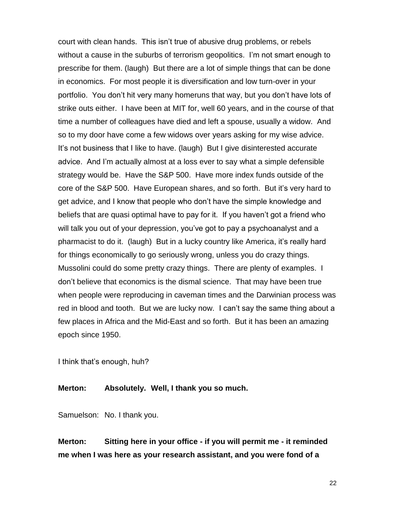court with clean hands. This isn't true of abusive drug problems, or rebels without a cause in the suburbs of terrorism geopolitics. I'm not smart enough to prescribe for them. (laugh) But there are a lot of simple things that can be done in economics. For most people it is diversification and low turn-over in your portfolio. You don't hit very many homeruns that way, but you don't have lots of strike outs either. I have been at MIT for, well 60 years, and in the course of that time a number of colleagues have died and left a spouse, usually a widow. And so to my door have come a few widows over years asking for my wise advice. It's not business that I like to have. (laugh) But I give disinterested accurate advice. And I'm actually almost at a loss ever to say what a simple defensible strategy would be. Have the S&P 500. Have more index funds outside of the core of the S&P 500. Have European shares, and so forth. But it's very hard to get advice, and I know that people who don't have the simple knowledge and beliefs that are quasi optimal have to pay for it. If you haven't got a friend who will talk you out of your depression, you've got to pay a psychoanalyst and a pharmacist to do it. (laugh) But in a lucky country like America, it's really hard for things economically to go seriously wrong, unless you do crazy things. Mussolini could do some pretty crazy things. There are plenty of examples. I don't believe that economics is the dismal science. That may have been true when people were reproducing in caveman times and the Darwinian process was red in blood and tooth. But we are lucky now. I can't say the same thing about a few places in Africa and the Mid-East and so forth. But it has been an amazing epoch since 1950.

I think that's enough, huh?

#### **Merton: Absolutely. Well, I thank you so much.**

Samuelson: No. I thank you.

**Merton: Sitting here in your office - if you will permit me - it reminded me when I was here as your research assistant, and you were fond of a**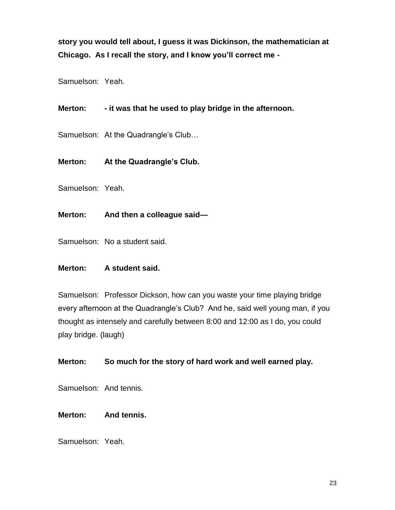**story you would tell about, I guess it was Dickinson, the mathematician at Chicago. As I recall the story, and I know you'll correct me -**

Samuelson: Yeah.

# **Merton: - it was that he used to play bridge in the afternoon.**

Samuelson: At the Quadrangle's Club…

# **Merton: At the Quadrangle's Club.**

Samuelson: Yeah.

**Merton: And then a colleague said—**

Samuelson: No a student said.

#### **Merton: A student said.**

Samuelson: Professor Dickson, how can you waste your time playing bridge every afternoon at the Quadrangle's Club? And he, said well young man, if you thought as intensely and carefully between 8:00 and 12:00 as I do, you could play bridge. (laugh)

# **Merton: So much for the story of hard work and well earned play.**

Samuelson: And tennis.

#### **Merton: And tennis.**

Samuelson: Yeah.